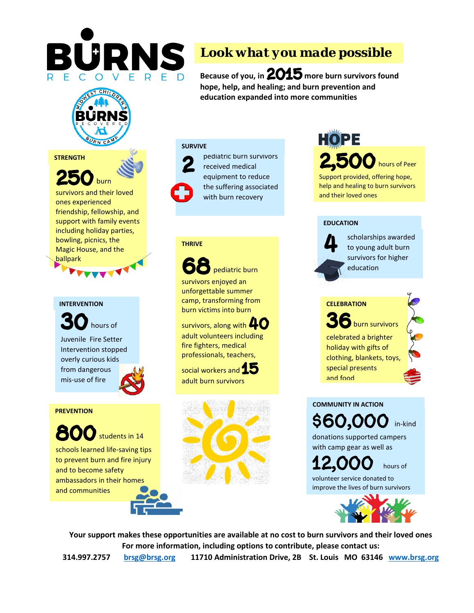

# *Look what you made possible*

**Because of you, in 2015 more burn survivors found hope, help, and healing; and burn prevention and education expanded into more communities**

#### **STRENGTH**



survivors and their loved ones experienced friendship, fellowship, and support with family events including holiday parties, bowling, picnics, the Magic House, and the ballpark

**RNCA** 

#### **INTERVENTION**

**30**hours of Juvenile Fire Setter Intervention stopped overly curious kids from dangerous mis-use of fire

#### **PREVENTION**

**800**students in 14 schools learned life-saving tips to prevent burn and fire injury and to become safety ambassadors in their homes and communities





pediatric burn survivors received medical equipment to reduce the suffering associated with burn recovery

#### **THRIVE**

**68**pediatric burn survivors enjoyed an unforgettable summer camp, transforming from burn victims into burn

survivors, along with **40** adult volunteers including fire fighters, medical professionals, teachers,

social workers and **15** adult burn survivors



# **2** hours of Peer

Support provided, offering hope, help and healing to burn survivors and their loved ones

#### **EDUCATION**



scholarships awarded to young adult burn survivors for higher education

**36**burn survivors celebrated a brighter holiday with gifts of clothing, blankets, toys, special presents and food **CELEBRATION**

**\$60,000** in-kind donations supported campers with camp gear as well as **COMMUNITY IN ACTION**

**12,000** hours of volunteer service donated to improve the lives of burn survivors



**Your support makes these opportunities are available at no cost to burn survivors and their loved ones For more information, including options to contribute, please contact us:**

**314.997.2757 [brsg@brsg.org](mailto:brsg@brsg.org) 11710 Administration Drive, 2B St. Louis MO 63146 [www.brsg.org](http://www.brsg.org/)**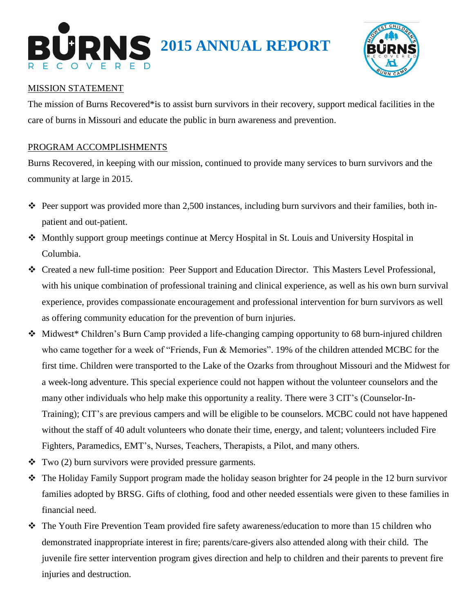



## MISSION STATEMENT

The mission of Burns Recovered\*is to assist burn survivors in their recovery, support medical facilities in the care of burns in Missouri and educate the public in burn awareness and prevention.

### PROGRAM ACCOMPLISHMENTS

Burns Recovered, in keeping with our mission, continued to provide many services to burn survivors and the community at large in 2015.

- $\hat{\cdot}$  Peer support was provided more than 2,500 instances, including burn survivors and their families, both inpatient and out-patient.
- Monthly support group meetings continue at Mercy Hospital in St. Louis and University Hospital in Columbia.
- Created a new full-time position: Peer Support and Education Director. This Masters Level Professional, with his unique combination of professional training and clinical experience, as well as his own burn survival experience, provides compassionate encouragement and professional intervention for burn survivors as well as offering community education for the prevention of burn injuries.
- Midwest\* Children's Burn Camp provided a life-changing camping opportunity to 68 burn-injured children who came together for a week of "Friends, Fun & Memories". 19% of the children attended MCBC for the first time. Children were transported to the Lake of the Ozarks from throughout Missouri and the Midwest for a week-long adventure. This special experience could not happen without the volunteer counselors and the many other individuals who help make this opportunity a reality. There were 3 CIT's (Counselor-In-Training); CIT's are previous campers and will be eligible to be counselors. MCBC could not have happened without the staff of 40 adult volunteers who donate their time, energy, and talent; volunteers included Fire Fighters, Paramedics, EMT's, Nurses, Teachers, Therapists, a Pilot, and many others.
- $\cdot \cdot$  Two (2) burn survivors were provided pressure garments.
- $\bullet$  The Holiday Family Support program made the holiday season brighter for 24 people in the 12 burn survivor families adopted by BRSG. Gifts of clothing, food and other needed essentials were given to these families in financial need.
- The Youth Fire Prevention Team provided fire safety awareness/education to more than 15 children who demonstrated inappropriate interest in fire; parents/care-givers also attended along with their child. The juvenile fire setter intervention program gives direction and help to children and their parents to prevent fire injuries and destruction.